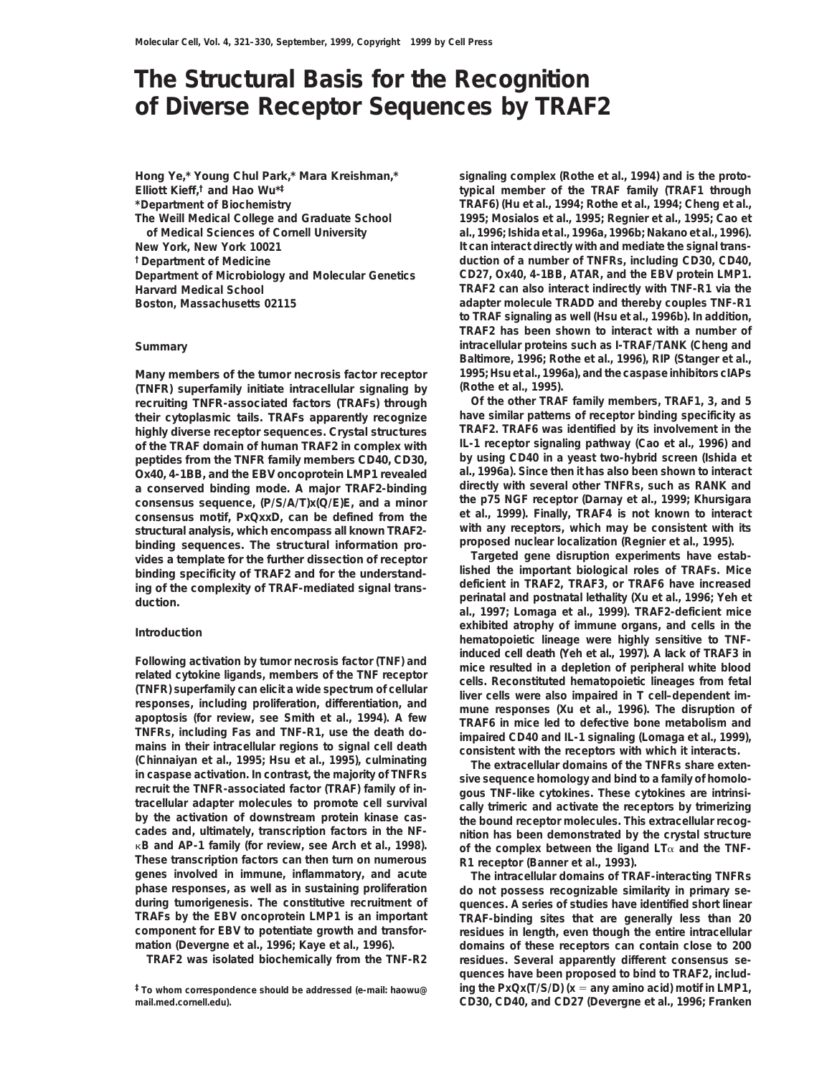# **The Structural Basis for the Recognition of Diverse Receptor Sequences by TRAF2**

**Hong Ye,\* Young Chul Park,\* Mara Kreishman,\* Elliott Kieff,† and Hao Wu\*‡ \*Department of Biochemistry**

**(Rothe et al., 1995). (TNFR) superfamily initiate intracellular signaling by recruiting TNFR-associated factors (TRAFs) through Of the other TRAF family members, TRAF1, 3, and 5 their cytoplasmic tails. TRAFs apparently recognize have similar patterns of receptor binding specificity as highly diverse receptor sequences. Crystal structures TRAF2. TRAF6 was identified by its involvement in the of the TRAF domain of human TRAF2 in complex with IL-1 receptor signaling pathway (Cao et al., 1996) and peptides from the TNFR family members CD40, CD30, by using CD40 in a yeast two-hybrid screen (Ishida et Ox40, 4-1BB, and the EBV oncoprotein LMP1 revealed al., 1996a). Since then it has also been shown to interact a conserved binding mode. A major TRAF2-binding directly with several other TNFRs, such as RANK and** consensus sequence,  $(P/S/A/T)x(Q/E)E$ , and a minor **consensus motif, PxQxxD, can be defined from the et al., 1999). Finally, TRAF4 is not known to interact** structural analysis, which encompass all known TRAF2-<br>binding sequences. The structural information pro-<br>vides a template for the further dissection of receptor<br>binding specificity of TRAF2 and for the understand-<br>lished t

approvision fevelw, see Smith et al., 1994). A few<br>
TRAF6 in mice led to defective bone metabolism and<br>
TNFRs, including Fas and TNF-R1, use the death do-<br>
mains in their intracellular regions to signal cell death<br>
(Chinna in caspase activation. In contrast, the majority of TNFRs<br>recruit the TNFR-associated factor (TRAF) family of in-<br>tracellular adapter molecules to promote cell survival<br>by the activation of downstream protein kinase cas-<br> **These transcription factors can then turn on numerous R1 receptor (Banner et al., 1993). genes involved in immune, inflammatory, and acute The intracellular domains of TRAF-interacting TNFRs phase responses, as well as in sustaining proliferation do not possess recognizable similarity in primary se-TRAFs by the EBV oncoprotein LMP1 is an important TRAF-binding sites that are generally less than 20**

**mail.med.cornell.edu). CD30, CD40, and CD27 (Devergne et al., 1996; Franken**

**signaling complex (Rothe et al., 1994) and is the prototypical member of the TRAF family (TRAF1 through TRAF6) (Hu et al., 1994; Rothe et al., 1994; Cheng et al., The Weill Medical College and Graduate School 1995; Mosialos et al., 1995; Regnier et al., 1995; Cao et of Medical Sciences of Cornell University al., 1996; Ishida et al., 1996a, 1996b; Nakano et al., 1996). New York, New York 10021 It can interact directly with and mediate the signal trans- †Department of Medicine duction of a number of TNFRs, including CD30, CD40, Department of Microbiology and Molecular Genetics CD27, Ox40, 4-1BB, ATAR, and the EBV protein LMP1. Harvard Medical School TRAF2 can also interact indirectly with TNF-R1 via the Boston, Massachusetts 02115 adapter molecule TRADD and thereby couples TNF-R1 to TRAF signaling as well (Hsu et al., 1996b). In addition, TRAF2 has been shown to interact with a number of Summary intracellular proteins such as I-TRAF/TANK (Cheng and Baltimore, 1996; Rothe et al., 1996), RIP (Stanger et al., Many members of the tumor necrosis factor receptor 1995; Hsu et al., 1996a), and the caspase inhibitors cIAPs**

**al., 1997; Lomaga et al., 1999). TRAF2-deficient mice exhibited atrophy of immune organs, and cells in the**<br> **Introduction hematopoietic lineage were highly sensitive to TNF-**Following activation by tumor necrosis factor (TNF) and<br>
related cytokine ligands, members of the TNF receptor<br>
(TNFR) superfamily can elicit a wide spectrum of cellular<br>
responses, including proliferation, differentiation

quences. A series of studies have identified short linear **component for EBV to potentiate growth and transfor- residues in length, even though the entire intracellular** domains of these receptors can contain close to 200 **TRAF2 was isolated biochemically from the TNF-R2 residues. Several apparently different consensus sequences have been proposed to bind to TRAF2, includ- ‡To whom correspondence should be addressed (e-mail: haowu@ ing the PxQx(T/S/D) (x** 5 **any amino acid) motif in LMP1,**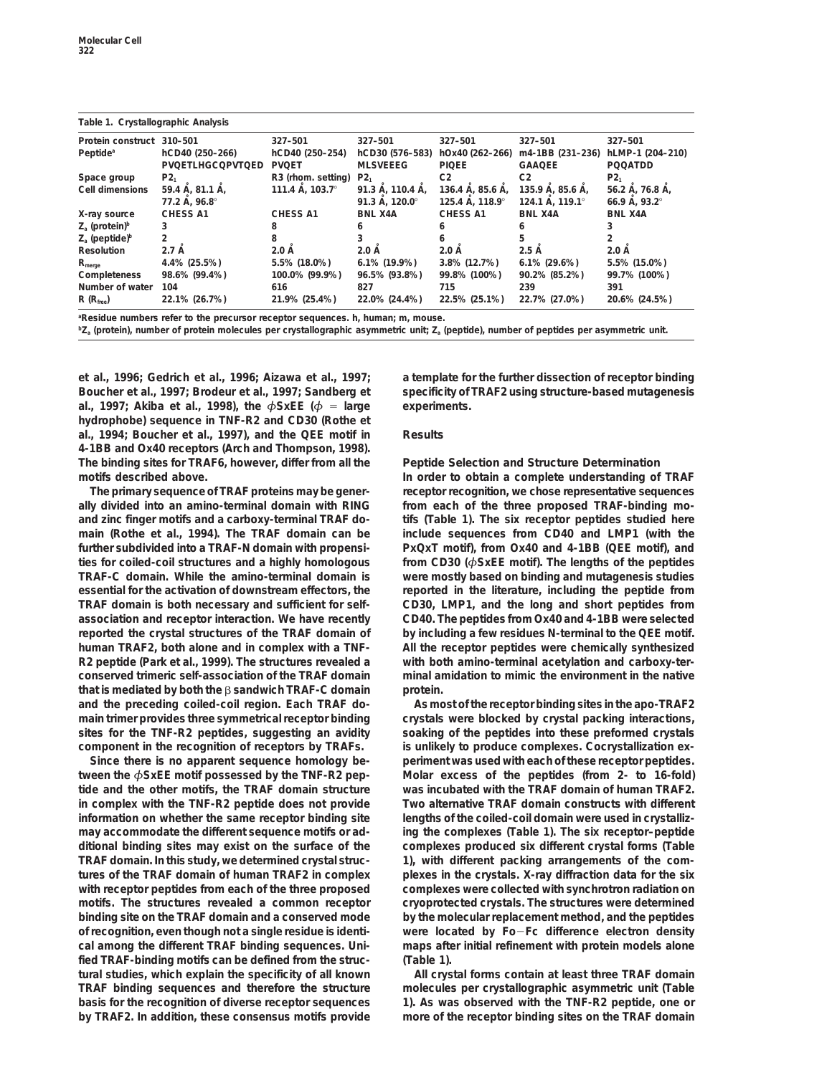| Table 1. Crystallographic Arialysis |                         |                                |                                      |                 |                  |                        |  |  |  |  |
|-------------------------------------|-------------------------|--------------------------------|--------------------------------------|-----------------|------------------|------------------------|--|--|--|--|
| Protein construct                   | 310-501                 | 327-501                        | 327-501                              | 327-501         | 327-501          | 327-501                |  |  |  |  |
| Peptide <sup>a</sup>                | hCD40 (250-266)         | hCD40 (250-254)                | hCD30 (576-583)                      | hOx40 (262-266) | m4-1BB (231-236) | hLMP-1 (204-210)       |  |  |  |  |
|                                     | <b>PVQETLHGCQPVTQED</b> | <b>PVOET</b>                   | <b>MLSVEEEG</b>                      | <b>PIQEE</b>    | <b>GAAQEE</b>    | <b>POOATDD</b>         |  |  |  |  |
| Space group                         | P2 <sub>1</sub>         | R <sub>3</sub> (rhom. setting) | P2 <sub>1</sub>                      | C <sub>2</sub>  | C <sub>2</sub>   | P2 <sub>1</sub>        |  |  |  |  |
| Cell dimensions                     | 59.4 Å, 81.1 Å,         | 111.4 Å, 103.7°                | 136.4 A, 85.6 A,<br>91.3 Å, 110.4 Å, |                 | 135.9 Å, 85.6 Å, | 56.2 Å, 76.8 Å,        |  |  |  |  |
|                                     | 77.2 Å, 96.8°           |                                | 91.3 Å, 120.0°                       | 125.4 A. 118.9° | 124.1 A. 119.1°  | 66.9 A. $93.2^{\circ}$ |  |  |  |  |
| X-ray source                        | <b>CHESS A1</b>         | <b>CHESS A1</b>                | <b>BNL X4A</b>                       | <b>CHESS A1</b> | <b>BNL X4A</b>   | <b>BNL X4A</b>         |  |  |  |  |
| $Z_a$ (protein) <sup>b</sup>        |                         |                                |                                      | h               |                  |                        |  |  |  |  |
| $Z_a$ (peptide) <sup>b</sup>        |                         |                                |                                      | 6               | 5                |                        |  |  |  |  |
| <b>Resolution</b>                   | 2.7A                    | 2.0A                           | $2.0\text{ A}$                       | $2.0 \text{ Å}$ | 2.5A             | $2.0\text{ A}$         |  |  |  |  |
| $R_{\text{merge}}$                  | 4.4% (25.5%)            | 5.5% (18.0%)                   | 6.1% (19.9%)                         | 3.8% (12.7%)    | $6.1\%$ (29.6%)  | 5.5% (15.0%)           |  |  |  |  |
| Completeness                        | 98.6% (99.4%)           | 100.0% (99.9%)                 | 96.5% (93.8%)                        | 99.8% (100%)    | 90.2% (85.2%)    | 99.7% (100%)           |  |  |  |  |
| Number of water                     | 104                     | 616                            | 827                                  | 715             | 239              | 391                    |  |  |  |  |
| $R(R_{\text{free}})$                | 22.1% (26.7%)           | 21.9% (25.4%)                  | 22.0% (24.4%)                        | 22.5% (25.1%)   | 22.7% (27.0%)    | 20.6% (24.5%)          |  |  |  |  |
|                                     |                         |                                |                                      |                 |                  |                        |  |  |  |  |

**Table 1. Crystallographic Analysis**

**a Residue numbers refer to the precursor receptor sequences. h, human; m, mouse.**

**bZa (protein), number of protein molecules per crystallographic asymmetric unit; Za (peptide), number of peptides per asymmetric unit.**

**Boucher et al., 1997; Brodeur et al., 1997; Sandberg et specificity of TRAF2 using structure-based mutagenesis al., 1997;** Akiba et al., 1998), the  $\phi$ SxEE ( $\phi$  = large experiments. **hydrophobe) sequence in TNF-R2 and CD30 (Rothe et al., 1994; Boucher et al., 1997), and the QEE motif in Results 4-1BB and Ox40 receptors (Arch and Thompson, 1998). The binding sites for TRAF6, however, differ from all the Peptide Selection and Structure Determination motifs described above. In order to obtain a complete understanding of TRAF**

**ally divided into an amino-terminal domain with RING from each of the three proposed TRAF-binding moand zinc finger motifs and a carboxy-terminal TRAF do- tifs (Table 1). The six receptor peptides studied here main (Rothe et al., 1994). The TRAF domain can be include sequences from CD40 and LMP1 (with the further subdivided into a TRAF-N domain with propensi- PxQxT motif), from Ox40 and 4-1BB (QEE motif), and ties for coiled-coil structures and a highly homologous from CD30 (***φ***SxEE motif). The lengths of the peptides TRAF-C domain. While the amino-terminal domain is were mostly based on binding and mutagenesis studies essential for the activation of downstream effectors, the reported in the literature, including the peptide from TRAF domain is both necessary and sufficient for self- CD30, LMP1, and the long and short peptides from association and receptor interaction. We have recently CD40. The peptides from Ox40 and 4-1BB were selected reported the crystal structures of the TRAF domain of by including a few residues N-terminal to the QEE motif. human TRAF2, both alone and in complex with a TNF- All the receptor peptides were chemically synthesized R2 peptide (Park et al., 1999). The structures revealed a with both amino-terminal acetylation and carboxy-terconserved trimeric self-association of the TRAF domain minal amidation to mimic the environment in the native** that is mediated by both the  $\beta$  sandwich TRAF-C domain protein. **and the preceding coiled-coil region. Each TRAF do- As most of the receptor binding sites in the apo-TRAF2 main trimer provides three symmetrical receptor binding crystals were blocked by crystal packing interactions, sites for the TNF-R2 peptides, suggesting an avidity soaking of the peptides into these preformed crystals component in the recognition of receptors by TRAFs. is unlikely to produce complexes. Cocrystallization ex-**

**tween the** *φ***SxEE motif possessed by the TNF-R2 pep- Molar excess of the peptides (from 2- to 16-fold) tide and the other motifs, the TRAF domain structure was incubated with the TRAF domain of human TRAF2. in complex with the TNF-R2 peptide does not provide Two alternative TRAF domain constructs with different information on whether the same receptor binding site lengths of the coiled-coil domain were used in crystallizmay accommodate the different sequence motifs or ad- ing the complexes (Table 1). The six receptor–peptide ditional binding sites may exist on the surface of the complexes produced six different crystal forms (Table TRAF domain. In this study, we determined crystal struc- 1), with different packing arrangements of the comtures of the TRAF domain of human TRAF2 in complex plexes in the crystals. X-ray diffraction data for the six with receptor peptides from each of the three proposed complexes were collected with synchrotron radiation on motifs. The structures revealed a common receptor cryoprotected crystals. The structures were determined binding site on the TRAF domain and a conserved mode by the molecular replacement method, and the peptides of recognition, even though not a single residue is identi- were located by Fo**2**Fc difference electron density cal among the different TRAF binding sequences. Uni- maps after initial refinement with protein models alone fied TRAF-binding motifs can be defined from the struc- (Table 1). tural studies, which explain the specificity of all known All crystal forms contain at least three TRAF domain TRAF binding sequences and therefore the structure molecules per crystallographic asymmetric unit (Table basis for the recognition of diverse receptor sequences 1). As was observed with the TNF-R2 peptide, one or by TRAF2. In addition, these consensus motifs provide more of the receptor binding sites on the TRAF domain**

**et al., 1996; Gedrich et al., 1996; Aizawa et al., 1997; a template for the further dissection of receptor binding**

**The primary sequence of TRAF proteins may be gener- receptor recognition, we chose representative sequences**

**Since there is no apparent sequence homology be- periment was used with each of these receptor peptides.**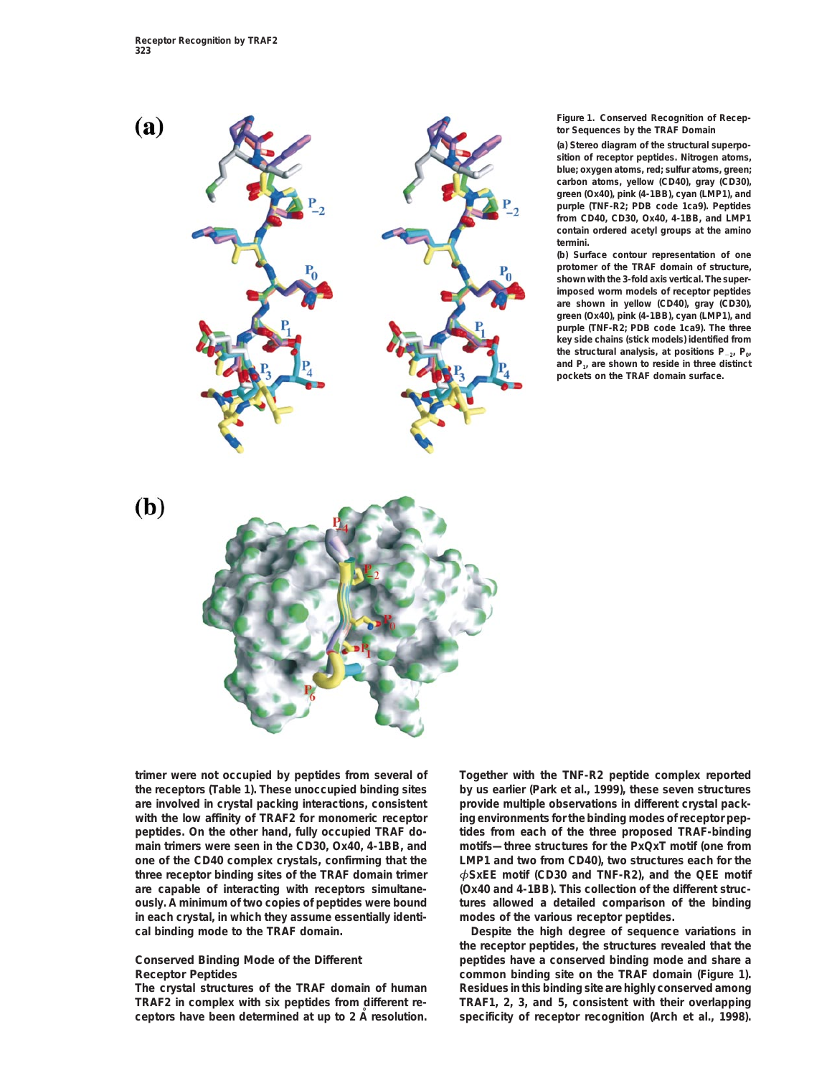

**Figure 1. Conserved Recognition of Receptor Sequences by the TRAF Domain**

**(a) Stereo diagram of the structural superposition of receptor peptides. Nitrogen atoms, blue; oxygen atoms, red; sulfur atoms, green; carbon atoms, yellow (CD40), gray (CD30), green (Ox40), pink (4-1BB), cyan (LMP1), and purple (TNF-R2; PDB code 1ca9). Peptides from CD40, CD30, Ox40, 4-1BB, and LMP1 contain ordered acetyl groups at the amino termini.**

**(b) Surface contour representation of one protomer of the TRAF domain of structure, shown with the 3-fold axis vertical. The superimposed worm models of receptor peptides are shown in yellow (CD40), gray (CD30), green (Ox40), pink (4-1BB), cyan (LMP1), and purple (TNF-R2; PDB code 1ca9). The three key side chains (stick models) identified from the structural analysis, at positions P**2**2, P0, and P1, are shown to reside in three distinct pockets on the TRAF domain surface.**



**the receptors (Table 1). These unoccupied binding sites by us earlier (Park et al., 1999), these seven structures with the low affinity of TRAF2 for monomeric receptor ing environments for the binding modes of receptor pepin each crystal, in which they assume essentially identi- modes of the various receptor peptides.**

**The crystal structures of the TRAF domain of human Residues in this binding site are highly conserved among TRAF2 in complex with six peptides from different re- TRAF1, 2, 3, and 5, consistent with their overlapping ceptors have been determined at up to 2 A resolution. Specificity of receptor recognition (Arch et al., 1998).** 

**trimer were not occupied by peptides from several of Together with the TNF-R2 peptide complex reported are involved in crystal packing interactions, consistent provide multiple observations in different crystal packpeptides. On the other hand, fully occupied TRAF do- tides from each of the three proposed TRAF-binding main trimers were seen in the CD30, Ox40, 4-1BB, and motifs—three structures for the PxQxT motif (one from one of the CD40 complex crystals, confirming that the LMP1 and two from CD40), two structures each for the three receptor binding sites of the TRAF domain trimer** *φ***SxEE motif (CD30 and TNF-R2), and the QEE motif are capable of interacting with receptors simultane- (Ox40 and 4-1BB). This collection of the different strucously. A minimum of two copies of peptides were bound tures allowed a detailed comparison of the binding**

**cal binding mode to the TRAF domain. Despite the high degree of sequence variations in the receptor peptides, the structures revealed that the Conserved Binding Mode of the Different peptides have a conserved binding mode and share a Receptor Peptides common binding site on the TRAF domain (Figure 1).**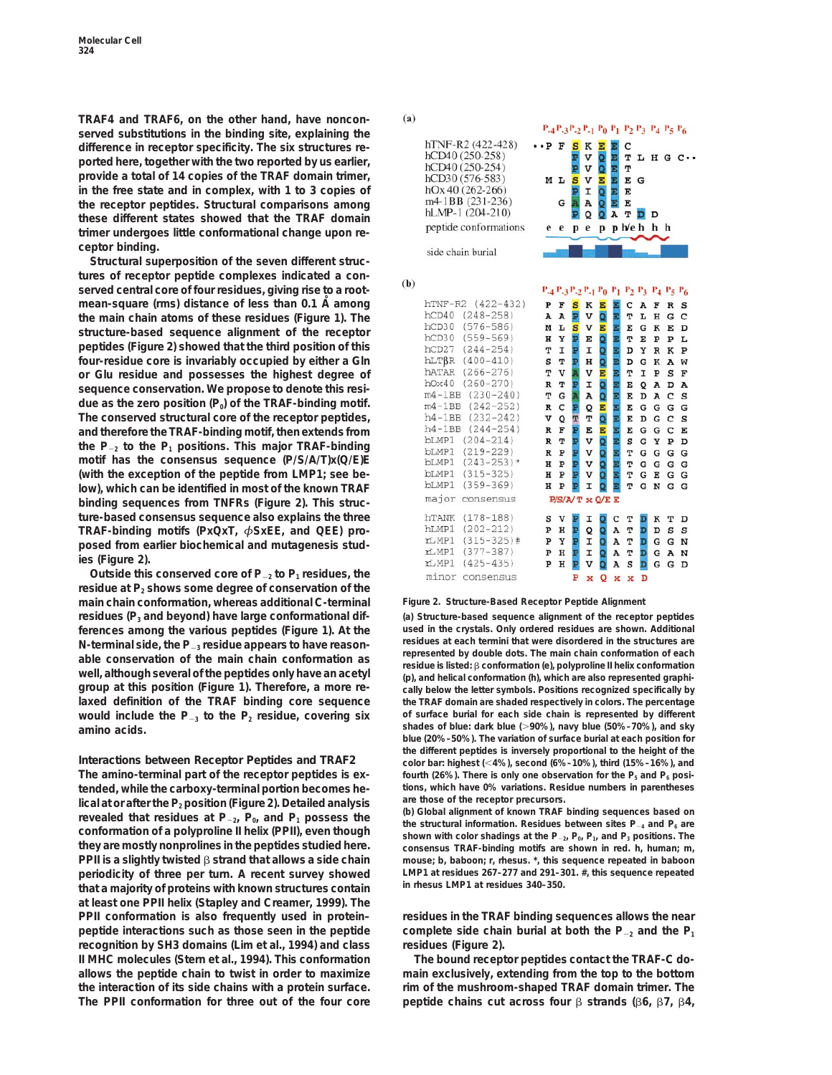**TRAF4 and TRAF6, on the other hand, have nonconserved substitutions in the binding site, explaining the difference in receptor specificity. The six structures reported here, together with the two reported by us earlier, provide a total of 14 copies of the TRAF domain trimer, in the free state and in complex, with 1 to 3 copies of the receptor peptides. Structural comparisons among these different states showed that the TRAF domain trimer undergoes little conformational change upon receptor binding.**

**Structural superposition of the seven different structures of receptor peptide complexes indicated a conserved central core of four residues, giving rise to a rootmean-square (rms) distance of less than 0.1 A˚ among the main chain atoms of these residues (Figure 1). The structure-based sequence alignment of the receptor peptides (Figure 2) showed that the third position of this four-residue core is invariably occupied by either a Gln or Glu residue and possesses the highest degree of sequence conservation. We propose to denote this resi**due as the zero position (P<sub>0</sub>) of the TRAF-binding motif. **The conserved structural core of the receptor peptides, and therefore the TRAF-binding motif, then extends from** the  $P_{-2}$  to the  $P_1$  positions. This major TRAF-binding **motif has the consensus sequence (P/S/A/T)x(Q/E)E (with the exception of the peptide from LMP1; see below), which can be identified in most of the known TRAF binding sequences from TNFRs (Figure 2). This structure-based consensus sequence also explains the three TRAF-binding motifs (PxQxT,** *φ***SxEE, and QEE) proposed from earlier biochemical and mutagenesis studies (Figure 2).**

Outside this conserved core of P<sub>-2</sub> to P<sub>1</sub> residues, the residue at P<sub>2</sub> shows some degree of conservation of the **main chain conformation, whereas additional C-terminal Figure 2. Structure-Based Receptor Peptide Alignment residues (P3 and beyond) have large conformational dif- (a) Structure-based sequence alignment of the receptor peptides used in the crystals. Only ordered residues are shown. Additional ferences among the various peptides (Figure 1). At the** N-terminal side, the  $P_{-3}$  residue appears to have reason-<br>able conservation of the main chain conformation as<br>well, although several of the peptides only have an acetyl<br>message isted:  $\beta$  conformation (e), polyproline group at this position (Figure 1). Therefore, a more re-<br>laxed definition of the TRAF binding core sequence the TRAF domain are shaded respectively in colors. The percentage **would include the P<sub>-3</sub> to the P<sub>2</sub> residue, covering six** of surface burial for each side chain is represented by different **shades of blue: dark blue (**.**90%), navy blue (50%–70%), and sky amino acids.**

**tended, while the carboxy-terminal portion becomes he- tions, which have 0% variations. Residue numbers in parentheses** lical at or after the P<sub>2</sub> position (Figure 2). Detailed analysis are those of the receptor precursors.<br>
revealed that residues at P<sub>-2</sub>, P<sub>0</sub>, and P<sub>1</sub> possess the conformation of a polyproline II helix (PPII), even thou **PPII is a slightly twisted** b **strand that allows a side chain mouse; b, baboon; r, rhesus. \*, this sequence repeated in baboon periodicity of three per turn. A recent survey showed LMP1 at residues 267–277 and 291–301. #, this sequence repeated in rhesus LMP1 at residues 340–350. that a majority of proteins with known structures contain at least one PPII helix (Stapley and Creamer, 1999). The PPII conformation is also frequently used in protein– residues in the TRAF binding sequences allows the near peptide interactions such as those seen in the peptide** complete side chain burial at both the  $P_{-2}$  and the  $P_1$ **recognition by SH3 domains (Lim et al., 1994) and class residues (Figure 2). II MHC molecules (Stern et al., 1994). This conformation The bound receptor peptides contact the TRAF-C doallows the peptide chain to twist in order to maximize main exclusively, extending from the top to the bottom the interaction of its side chains with a protein surface. rim of the mushroom-shaped TRAF domain trimer. The**

 $(a)$ 

 $(b)$ 

|                                                         |                                 |         |             | $P_{-4}P_{-3}P_{-2}P_{-1}P_0P_1P_2P_3P_4P_5P_6$ |                          |             |             |        |           |             |         |
|---------------------------------------------------------|---------------------------------|---------|-------------|-------------------------------------------------|--------------------------|-------------|-------------|--------|-----------|-------------|---------|
| hTNF-R2 (422-428)<br>hCD40 (250-258)<br>hCD40 (250-254) | $\cdot$ . $_{\rm P}$ $_{\rm F}$ |         | s<br>P<br>P | к<br>v<br>v                                     | E<br>$\overline{Q}$<br>Q | Ξ<br>E<br>E | C<br>т<br>т |        |           |             | L H G C |
| hCD30 (576-583)                                         | м                               | Ŀ       | S           | $\mathbf v$                                     | Ε                        | E           | E           | G      |           |             |         |
| $hOx 40(262-266)$                                       |                                 |         | Þ           | I                                               | Q                        | E           | E           |        |           |             |         |
| m4-1BB (231-236)                                        |                                 | G       | Ä           | A                                               | $\overline{O}$           | Ē           | E           |        |           |             |         |
| $hLMP-1(204-210)$                                       |                                 |         | P           | o                                               | Ō                        | A           | Τ           | D      | D         |             |         |
| peptide conformations                                   | е                               | e       | p           | e                                               | p                        |             | p h/e h     |        | h h       |             |         |
|                                                         |                                 |         |             |                                                 |                          |             |             |        |           |             |         |
| side chain burial                                       |                                 |         |             |                                                 |                          |             |             |        |           |             |         |
|                                                         |                                 |         |             |                                                 |                          |             |             |        |           |             |         |
|                                                         |                                 |         |             |                                                 |                          |             |             |        |           |             |         |
|                                                         |                                 |         |             | $P_{-4}P_{-3}P_{-2}P_{-1}P_0P_1P_2P_3P_4P_5P_6$ |                          |             |             |        |           |             |         |
| $(422 - 432)$<br>hTNF-R2                                | P                               | F       | s           | ĸ                                               | Е                        | E           | c           | A      | F         | $\mathbb R$ | S       |
| $(248 - 258)$<br>hCD40                                  | A                               | A       | Þ           | v                                               | Q                        | E           | T           | L      | H         | G           | C       |
| hCD30<br>$(576 - 586)$                                  | м                               | L       | s           | v                                               | Е                        | E           | E           | G      | к         | E           | D       |
| hCD30<br>$(559 - 569)$                                  | н                               | Υ       | P           | E                                               | Q                        | E           | T           | E      | ${\bf P}$ | ъ           | Ŀ       |
| hCD27<br>$(244 - 254)$                                  | T                               | I       | P           | I                                               | Q                        | E           | D           | Y      | R         | K           | P       |
| hLTBR<br>$(400 - 410)$                                  | s                               | т       | Þ           | н                                               | Q                        | E           | D           | G      | к         | А           | w       |
| hATAR<br>$(266 - 276)$                                  | т                               | v       | Ä           | v                                               | E                        | E           | Т           | I      | P         | S           | F       |
| $(260 - 270)$<br>h0x40                                  | R                               | т       | Þ           | Ι                                               | Q                        | E           | E           | Q      | A         | D           | A       |
| $m4-1BB$ $(230-240)$                                    | т                               | G       | A           | A                                               | Q                        | E           | E           | D      | A         | C           | S       |
| m4-1BB (242-252)                                        | R                               | c       | Þ           | Q                                               | E                        | Ē           | E           | G      | G         | G           | G       |
| $h4-1BB$<br>$(232 - 242)$                               | v                               | $\circ$ | T           | т                                               | Q                        | E           | E           | D      | G         | C           | S       |
| $h4-1BB$<br>$(244 - 254)$                               | R                               | F       | P           | E                                               | Ē                        | E           | E           | G      | G         | c           | Ε       |
| $(204 - 214)$<br>bLMP1                                  | R                               | т       | Þ           | v                                               | Q                        | E           | s           | G      | Y         | P           | D       |
| bLMP1<br>$(219 - 229)$                                  | R                               | P       | Þ           | v                                               | Q                        | E           | T           | G      | G         | G           | G       |
| $(243 - 253)$ *<br>bLMP1                                | н                               | Þ       | Þ           | $\overline{\mathbf{v}}$                         | ō                        | Ξ           | т           | G      | G         | G           | G       |
| bLMP1<br>$(315 - 325)$                                  | н                               | P       | Þ           | v                                               | ō                        | E           | т           | G      | E         | G           | G       |
| bLMP1<br>$(359 - 369)$                                  | н                               | P       | ₽           | I                                               | Q                        | E           | т           | G      | N         | G           | G       |
| major<br>consensus                                      |                                 |         |             | P/S/A/T x Q/E E                                 |                          |             |             |        |           |             |         |
| $(178 - 188)$<br>hTANK                                  | s                               | v       | P           | I                                               |                          | C           | т           |        | к         | т           | D       |
| $(202 - 212)$<br>hLMP1                                  | P                               | H       | P           | Q                                               | Q<br>Q                   | A           | T           | D<br>D | D         | S           | S       |
| $(315 - 325)$ #<br>rLMP1                                | P                               | ч       | P           | I                                               | Q                        | A           | т           | D      | G         | G           | N       |
| $(377 - 387)$<br>rLMP1                                  | P                               | н       | P           | I                                               | Q                        | A           | т           | D      | G         | A           | N       |
| rLMP1<br>$(425 - 435)$                                  | P                               | н       | Þ           | v                                               | Q                        | A           | S           | D      | G         | G           | D       |
|                                                         |                                 |         |             |                                                 |                          |             |             |        |           |             |         |
| minor consensus                                         |                                 |         | P           | x                                               | Q                        | x           | x           | D      |           |             |         |

**lhe TRAF domain are shaded respectively in colors. The percentage blue (20%–50%). The variation of surface burial at each position for the different peptides is inversely proportional to the height of the Interactions between Receptor Peptides and TRAF2 color bar: highest (**,**4%), second (6%–10%), third (15%–16%), and** The amino-terminal part of the receptor peptides is ex-<br> **fourth** (26%). There is only one observation for the P<sub>5</sub> and P<sub>6</sub> posi-

consensus TRAF-binding motifs are shown in red. h, human; m,

The PPII conformation for three out of the four core peptide chains cut across four  $\beta$  strands ( $\beta$ 6,  $\beta$ 7,  $\beta$ 4,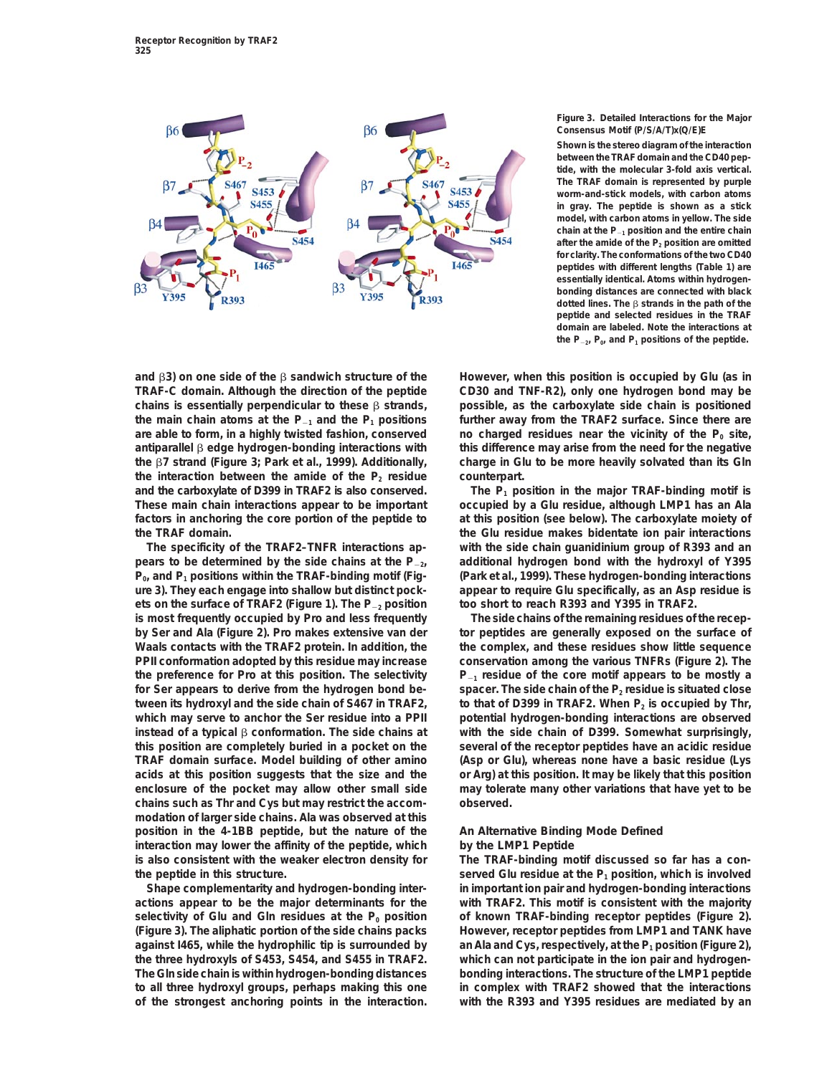

## **Figure 3. Detailed Interactions for the Major Consensus Motif (P/S/A/T)x(Q/E)E**

**Shown is the stereo diagram of the interaction between the TRAF domain and the CD40 peptide, with the molecular 3-fold axis vertical. The TRAF domain is represented by purple worm-and-stick models, with carbon atoms in gray. The peptide is shown as a stick model, with carbon atoms in yellow. The side** chain at the  $P_{-1}$  position and the entire chain after the amide of the P<sub>2</sub> position are omitted **for clarity. The conformations of the two CD40 peptides with different lengths (Table 1) are essentially identical. Atoms within hydrogenbonding distances are connected with black dotted lines. The β strands in the path of the peptide and selected residues in the TRAF domain are labeled. Note the interactions at** the  $P_{-2}$ ,  $P_0$ , and  $P_1$  positions of the peptide.

**and** b**3) on one side of the** b **sandwich structure of the However, when this position is occupied by Glu (as in TRAF-C domain. Although the direction of the peptide CD30 and TNF-R2), only one hydrogen bond may be chains is essentially perpendicular to these** b **strands, possible, as the carboxylate side chain is positioned** the main chain atoms at the  $P_{-1}$  and the  $P_1$  positions further away from the TRAF2 surface. Since there are are able to form, in a highly twisted fashion, conserved no charged residues near the vicinity of the P<sub>0</sub> site, **antiparallel** b **edge hydrogen-bonding interactions with this difference may arise from the need for the negative the** b**7 strand (Figure 3; Park et al., 1999). Additionally, charge in Glu to be more heavily solvated than its Gln** the interaction between the amide of the  $P_2$  residue counterpart. and the carboxylate of D399 in TRAF2 is also conserved. The P<sub>1</sub> position in the major TRAF-binding motif is **These main chain interactions appear to be important occupied by a Glu residue, although LMP1 has an Ala factors in anchoring the core portion of the peptide to at this position (see below). The carboxylate moiety of the TRAF domain. the Glu residue makes bidentate ion pair interactions**

**pears to be determined by the side chains at the P**2**2, additional hydrogen bond with the hydroxyl of Y395 P0, and P1 positions within the TRAF-binding motif (Fig- (Park et al., 1999). These hydrogen-bonding interactions ure 3). They each engage into shallow but distinct pock- appear to require Glu specifically, as an Asp residue is ets on the surface of TRAF2 (Figure 1). The P**<sup>2</sup>**<sup>2</sup> position too short to reach R393 and Y395 in TRAF2. is most frequently occupied by Pro and less frequently The side chains of the remaining residues of the recep**by Ser and Ala (Figure 2). Pro makes extensive van der tor peptides are generally exposed on the surface of **Waals contacts with the TRAF2 protein. In addition, the the complex, and these residues show little sequence PPII conformation adopted by this residue may increase conservation among the various TNFRs (Figure 2). The** the preference for Pro at this position. The selectivity  $P_{-1}$  residue of the core motif appears to be mostly a for Ser appears to derive from the hydrogen bond be-<br>spacer. The side chain of the P<sub>2</sub> residue is situated close tween its hydroxyl and the side chain of S467 in TRAF2, to that of D399 in TRAF2. When P<sub>2</sub> is occupied by Thr, which may serve to anchor the Ser residue into a PPII potential hydrogen-bonding interactions are observed **instead of a typical** b **conformation. The side chains at with the side chain of D399. Somewhat surprisingly, this position are completely buried in a pocket on the several of the receptor peptides have an acidic residue TRAF domain surface. Model building of other amino (Asp or Glu), whereas none have a basic residue (Lys acids at this position suggests that the size and the or Arg) at this position. It may be likely that this position enclosure of the pocket may allow other small side may tolerate many other variations that have yet to be chains such as Thr and Cys but may restrict the accom- observed. modation of larger side chains. Ala was observed at this position in the 4-1BB peptide, but the nature of the An Alternative Binding Mode Defined interaction may lower the affinity of the peptide, which by the LMP1 Peptide is also consistent with the weaker electron density for The TRAF-binding motif discussed so far has a conthe peptide in this structure. served Glu residue at the P<sub>1</sub> position, which is involved served** Glu residue at the P<sub>1</sub> position, which is involved

**actions appear to be the major determinants for the with TRAF2. This motif is consistent with the majority** selectivity of Glu and Gln residues at the P<sub>0</sub> position of known TRAF-binding receptor peptides (Figure 2). **(Figure 3). The aliphatic portion of the side chains packs However, receptor peptides from LMP1 and TANK have against I465, while the hydrophilic tip is surrounded by an Ala and Cys, respectively, at the P1 position (Figure 2), the three hydroxyls of S453, S454, and S455 in TRAF2. which can not participate in the ion pair and hydrogen-The Gln side chain is within hydrogen-bonding distances bonding interactions. The structure of the LMP1 peptide to all three hydroxyl groups, perhaps making this one in complex with TRAF2 showed that the interactions of the strongest anchoring points in the interaction. with the R393 and Y395 residues are mediated by an**

**The specificity of the TRAF2–TNFR interactions ap- with the side chain guanidinium group of R393 and an**

**Shape complementarity and hydrogen-bonding inter- in important ion pair and hydrogen-bonding interactions**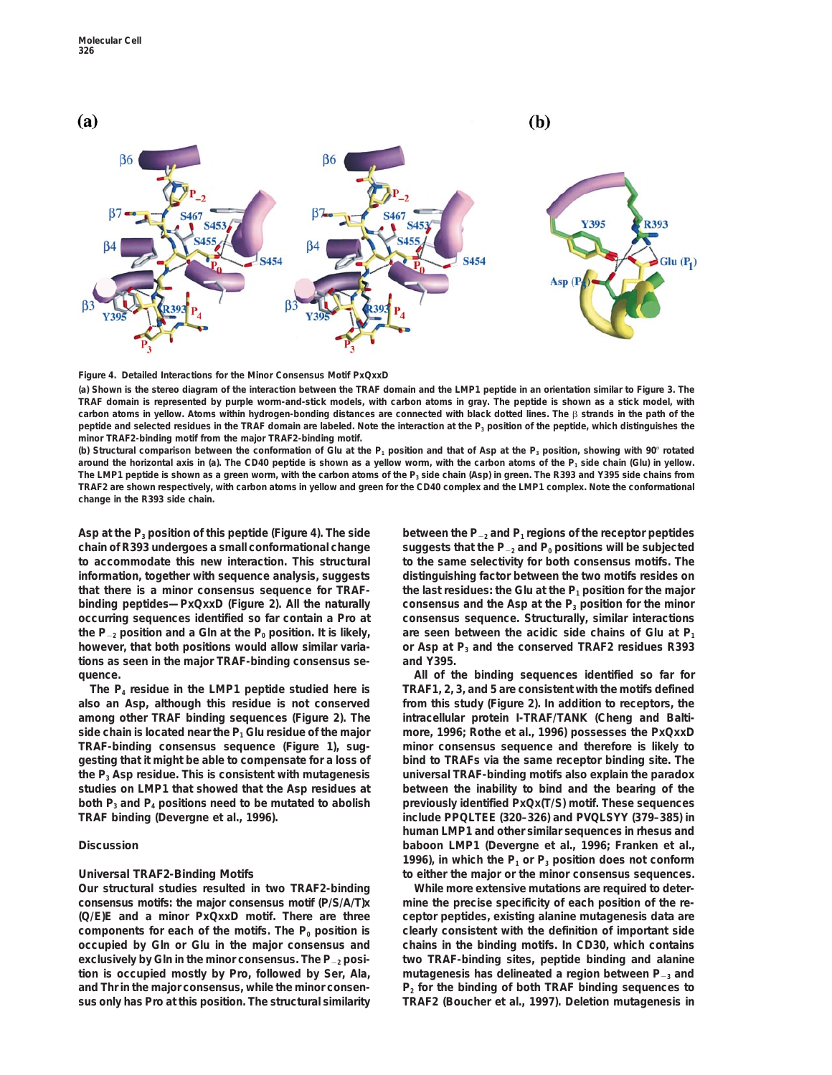

### **Figure 4. Detailed Interactions for the Minor Consensus Motif PxQxxD**

**(a) Shown is the stereo diagram of the interaction between the TRAF domain and the LMP1 peptide in an orientation similar to Figure 3. The TRAF domain is represented by purple worm-and-stick models, with carbon atoms in gray. The peptide is shown as a stick model, with carbon atoms in yellow. Atoms within hydrogen-bonding distances are connected with black dotted lines. The** b **strands in the path of the** peptide and selected residues in the TRAF domain are labeled. Note the interaction at the P<sub>3</sub> position of the peptide, which distinguishes the **minor TRAF2-binding motif from the major TRAF2-binding motif.**

**(b) Structural comparison between the conformation of Glu at the P1 position and that of Asp at the P3 position, showing with 90**8 **rotated** around the horizontal axis in (a). The CD40 peptide is shown as a yellow worm, with the carbon atoms of the P<sub>1</sub> side chain (Glu) in yellow. The LMP1 peptide is shown as a green worm, with the carbon atoms of the P<sub>3</sub> side chain (Asp) in green. The R393 and Y395 side chains from **TRAF2 are shown respectively, with carbon atoms in yellow and green for the CD40 complex and the LMP1 complex. Note the conformational change in the R393 side chain.**

**chain of R393 undergoes a small conformational change** suggests that the P<sub>-2</sub> and P<sub>0</sub> positions will be subjected **to accommodate this new interaction. This structural to the same selectivity for both consensus motifs. The information, together with sequence analysis, suggests distinguishing factor between the two motifs resides on that there is a minor consensus sequence for TRAF- the last residues: the Glu at the P1 position for the major binding peptides—PxQxxD (Figure 2). All the naturally** consensus and the Asp at the P<sub>3</sub> position for the minor **occurring sequences identified so far contain a Pro at consensus sequence. Structurally, similar interactions** the  $P_{-2}$  position and a Gln at the  $P_0$  position. It is likely, are seen between the acidic side chains of Glu at  $P_1$ **however, that both positions would allow similar varia- or Asp at P3 and the conserved TRAF2 residues R393 tions as seen in the major TRAF-binding consensus se- and Y395. quence. All of the binding sequences identified so far for**

**also an Asp, although this residue is not conserved from this study (Figure 2). In addition to receptors, the among other TRAF binding sequences (Figure 2). The intracellular protein I-TRAF/TANK (Cheng and Baltiside chain is located near the P1 Glu residue of the major more, 1996; Rothe et al., 1996) possesses the PxQxxD TRAF-binding consensus sequence (Figure 1), sug- minor consensus sequence and therefore is likely to gesting that it might be able to compensate for a loss of bind to TRAFs via the same receptor binding site. The the P3 Asp residue. This is consistent with mutagenesis universal TRAF-binding motifs also explain the paradox studies on LMP1 that showed that the Asp residues at between the inability to bind and the bearing of the both P3 and P4 positions need to be mutated to abolish previously identified PxQx(T/S) motif. These sequences**

**consensus motifs: the major consensus motif (P/S/A/T)x mine the precise specificity of each position of the re- (Q/E)E and a minor PxQxxD motif. There are three ceptor peptides, existing alanine mutagenesis data are** components for each of the motifs. The P<sub>0</sub> position is clearly consistent with the definition of important side **occupied by Gln or Glu in the major consensus and chains in the binding motifs. In CD30, which contains exclusively by Gln in the minor consensus. The P**<sup>2</sup>**<sup>2</sup> posi- two TRAF-binding sites, peptide binding and alanine tion is occupied mostly by Pro, followed by Ser, Ala, mutagenesis has delineated a region between P**<sup>2</sup>**<sup>3</sup> and and Thr in the major consensus, while the minor consen- P2 for the binding of both TRAF binding sequences to sus only has Pro at this position. The structural similarity TRAF2 (Boucher et al., 1997). Deletion mutagenesis in**

Asp at the  $P_3$  position of this peptide (Figure 4). The side between the  $P_2$  and  $P_1$  regions of the receptor peptides

**The P4 residue in the LMP1 peptide studied here is TRAF1, 2, 3, and 5 are consistent with the motifs defined TRAF binding (Devergne et al., 1996). include PPQLTEE (320–326) and PVQLSYY (379–385) in human LMP1 and other similar sequences in rhesus and Discussion baboon LMP1 (Devergne et al., 1996; Franken et al.,** 1996), in which the  $P_1$  or  $P_3$  position does not conform **Universal TRAF2-Binding Motifs to either the major or the minor consensus sequences.**

**Our structural studies resulted in two TRAF2-binding While more extensive mutations are required to deter-**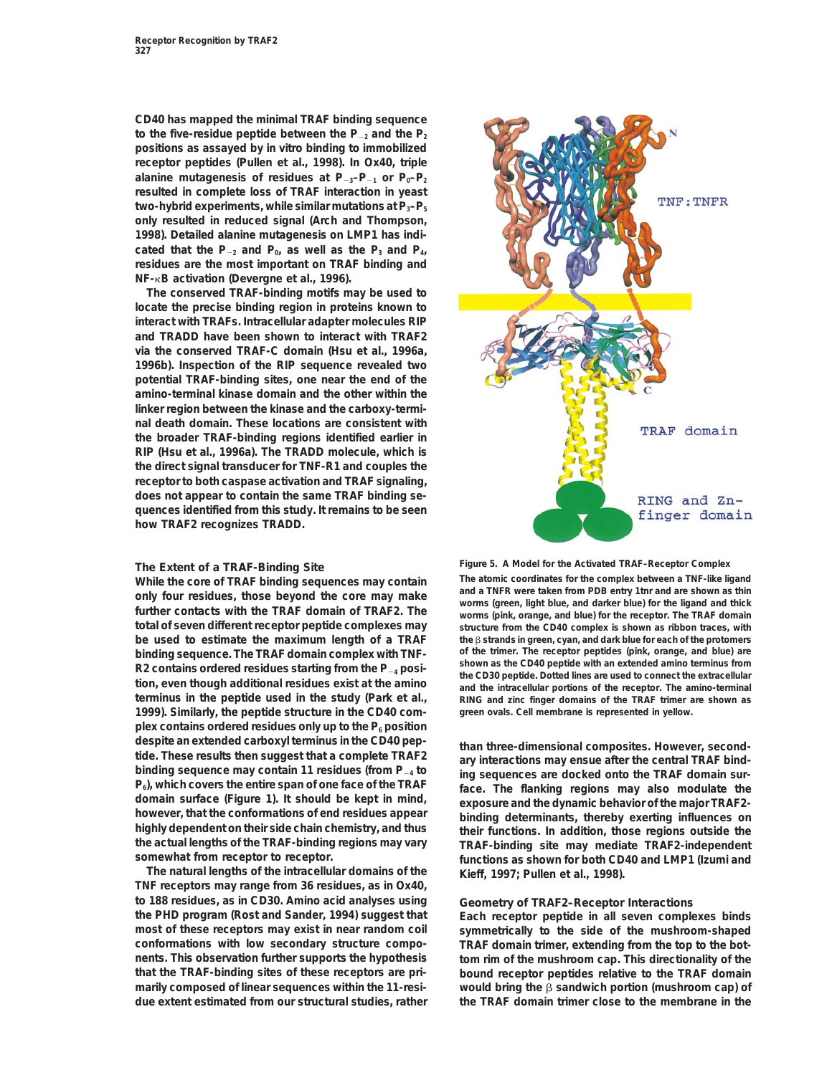**CD40 has mapped the minimal TRAF binding sequence** to the five-residue peptide between the P<sub>-2</sub> and the P<sub>2</sub> **positions as assayed by in vitro binding to immobilized receptor peptides (Pullen et al., 1998). In Ox40, triple** alanine mutagenesis of residues at  $P_{-3}-P_{-1}$  or  $P_0-P_2$ **resulted in complete loss of TRAF interaction in yeast** two-hybrid experiments, while similar mutations at P<sub>3</sub>-P<sub>5</sub> **only resulted in reduced signal (Arch and Thompson, 1998). Detailed alanine mutagenesis on LMP1 has indi**cated that the  $P_{-2}$  and  $P_0$ , as well as the  $P_3$  and  $P_4$ , **residues are the most important on TRAF binding and NF-**k**B activation (Devergne et al., 1996).**

**The conserved TRAF-binding motifs may be used to locate the precise binding region in proteins known to interact with TRAFs. Intracellular adapter molecules RIP and TRADD have been shown to interact with TRAF2 via the conserved TRAF-C domain (Hsu et al., 1996a, 1996b). Inspection of the RIP sequence revealed two potential TRAF-binding sites, one near the end of the amino-terminal kinase domain and the other within the linker region between the kinase and the carboxy-terminal death domain. These locations are consistent with the broader TRAF-binding regions identified earlier in RIP (Hsu et al., 1996a). The TRADD molecule, which is the direct signal transducer for TNF-R1 and couples the receptor to both caspase activation and TRAF signaling, does not appear to contain the same TRAF binding sequences identified from this study. It remains to be seen how TRAF2 recognizes TRADD.**

**terminus in the peptide used in the study (Park et al., RING and zinc finger domains of the TRAF trimer are shown as 1999). Similarly, the peptide structure in the CD40 com- green ovals. Cell membrane is represented in yellow. plex contains ordered residues only up to the P6 position** despite an extended carboxyl terminus in the CD40 pep-<br>than three-dimensional composites. However, second-<br>binding sequence may contain 11 residues (from P<sub>-4</sub> to<br>P<sub>0</sub>), which covers the entire span of one face of the TRAF

**The natural lengths of the intracellular domains of the Kieff, 1997; Pullen et al., 1998). TNF receptors may range from 36 residues, as in Ox40, to 188 residues, as in CD30. Amino acid analyses using Geometry of TRAF2–Receptor Interactions the PHD program (Rost and Sander, 1994) suggest that Each receptor peptide in all seven complexes binds most of these receptors may exist in near random coil symmetrically to the side of the mushroom-shaped conformations with low secondary structure compo- TRAF domain trimer, extending from the top to the botnents. This observation further supports the hypothesis tom rim of the mushroom cap. This directionality of the that the TRAF-binding sites of these receptors are pri- bound receptor peptides relative to the TRAF domain marily composed of linear sequences within the 11-resi- would bring the** b **sandwich portion (mushroom cap) of due extent estimated from our structural studies, rather the TRAF domain trimer close to the membrane in the**



**Figure 5. A Model for the Activated TRAF–Receptor Complex The Extent of a TRAF-Binding Site** While the core of TRAF binding sequences may contain The atomic coordinates for the complex between a TNF-like ligand<br>and a TNFR were taken from PDB entry 1thr and are shown as thin only four residues, those beyond the core may make<br>further contacts with the TRAF domain of TRAF2. The<br>total of seven different receptor peptide complexes may<br>total of seven different receptor peptide complexes may<br>structu structure from the CD40 complex is shown as ribbon traces, with **be used to estimate the maximum length of a TRAF** the  $\beta$  strands in green, cyan, and dark blue for each of the protomers<br>**binding sequence The TRAF domain complex with TNF**, of the trimer. The receptor peptides (pink, o **binding sequence. The TRAF domain complex with TNF- of the trimer. The receptor peptides (pink, orange, and blue) are** R2 contains ordered residues starting from the  $P_{-4}$  posi-<br>tion, even though additional residues exist at the amino<br>and the intracellular portions of the receptor. The amino-terminal

**somewhat from receptor to receptor. functions as shown for both CD40 and LMP1 (Izumi and**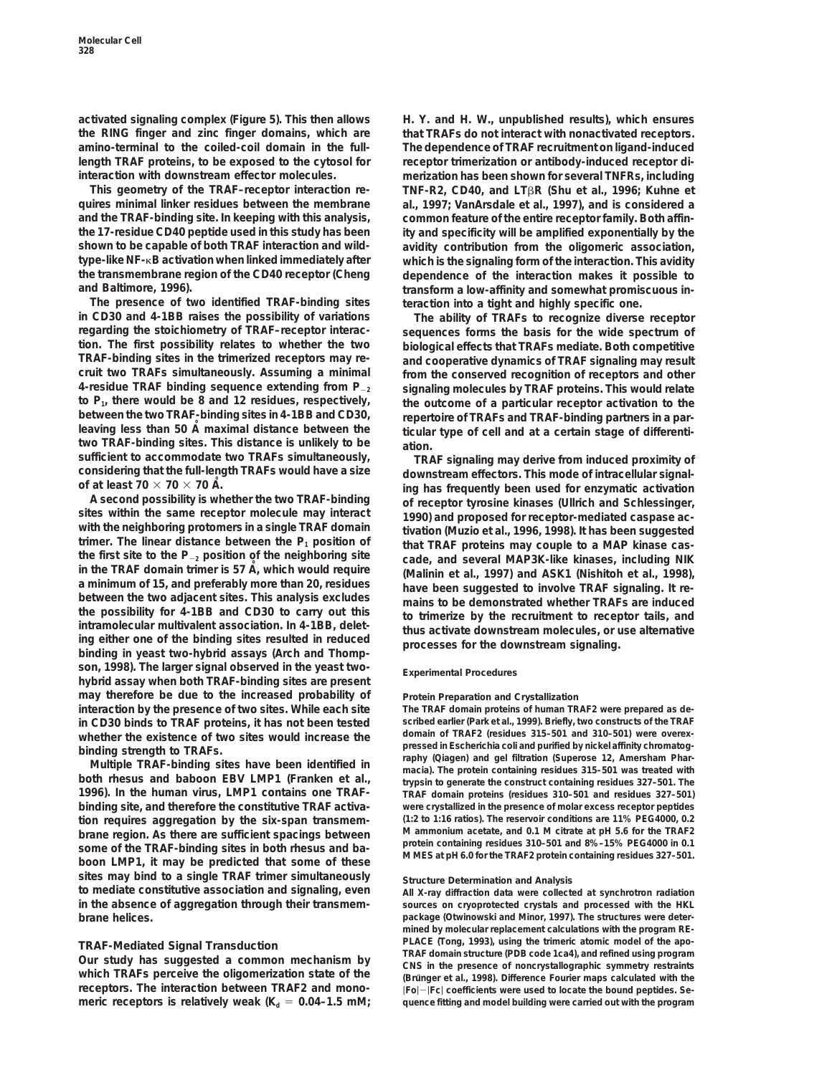**activated signaling complex (Figure 5). This then allows H. Y. and H. W., unpublished results), which ensures the RING finger and zinc finger domains, which are that TRAFs do not interact with nonactivated receptors. amino-terminal to the coiled-coil domain in the full- The dependence of TRAF recruitment on ligand-induced length TRAF proteins, to be exposed to the cytosol for receptor trimerization or antibody-induced receptor diinteraction with downstream effector molecules. merization has been shown for several TNFRs, including**

**quires minimal linker residues between the membrane al., 1997; VanArsdale et al., 1997), and is considered a and the TRAF-binding site. In keeping with this analysis, common feature of the entire receptor family. Both affinthe 17-residue CD40 peptide used in this study has been ity and specificity will be amplified exponentially by the shown to be capable of both TRAF interaction and wild- avidity contribution from the oligomeric association, type-like NF-**k**B activation when linked immediately after which is the signaling form of the interaction. This avidity the transmembrane region of the CD40 receptor (Cheng dependence of the interaction makes it possible to**

**The presence of two identified TRAF-binding sites teraction into a tight and highly specific one. in CD30 and 4-1BB raises the possibility of variations The ability of TRAFs to recognize diverse receptor regarding the stoichiometry of TRAF–receptor interac- sequences forms the basis for the wide spectrum of tion. The first possibility relates to whether the two biological effects that TRAFs mediate. Both competitive TRAF-binding sites in the trimerized receptors may re- and cooperative dynamics of TRAF signaling may result 4-residue TRAF binding sequence extending from P**<sup>2</sup>**<sup>2</sup> signaling molecules by TRAF proteins. This would relate to P1, there would be 8 and 12 residues, respectively, the outcome of a particular receptor activation to the between the two TRAF-binding sites in 4-1BB and CD30, repertoire of TRAFs and TRAF-binding partners in a partwo TRAF-binding sites. This distance is unlikely to be ation.**

Detween the two adjacent sites. This analysis excludes<br>the possibility for 4-1BB and CD30 to carry out this<br>intramolecular multivalent association. In 4-1BB, delet-<br>ing either one of the binding sites resulted in reduced<br>b **son, 1998). The larger signal observed in the yeast two- Experimental Procedures hybrid assay when both TRAF-binding sites are present may therefore be due to the increased probability of Protein Preparation and Crystallization interaction by the presence of two sites. While each site The TRAF domain proteins of human TRAF2 were prepared as dein CD30 binds to TRAF proteins, it has not been tested scribed earlier (Park et al., 1999). Briefly, two constructs of the TRAF** whether the existence of two sites would increase the domain of TRAF2 (residues 315–501 and 310–501) were overex-<br>
pressed in *Escherichia coli* and purified by nickel affinity chromatog-

**1996). In the human virus, LMP1 contains one TRAF- TRAF domain proteins (residues 310–501 and residues 327–501) binding site, and therefore the constitutive TRAF activa- were crystallized in the presence of molar excess receptor peptides tion requires aggregation by the six-span transmem- (1:2 to 1:16 ratios). The reservoir conditions are 11% PEG4000, 0.2** brane region. As there are sufficient spacings between some of the TRAF-binding sites in both rhesus and ba-<br>boon LMP1, it may be predicted that some of these MMES at pH 6.0 for the TRAF2 protein containing residues 327-50 sites may bind to a single TRAF trimer simultaneously structure Determination and Analysis<br>
to mediate constitutive association and signaling, even all X-ray diffraction data were collecte **in the absence of aggregation through their transmem- sources on cryoprotected crystals and processed with the HKL brane helices. package (Otwinowski and Minor, 1997). The structures were deter-**

**receptors.** The interaction between TRAF2 and mono-<br>  $|F_0| - |F_C|$  coefficients were used to locate the bound peptides. Se-<br>
meric receptors is relatively weak (K<sub>d</sub> = 0.04–1.5 mM; quence fitting and model building were c

**This geometry of the TRAF–receptor interaction re- TNF-R2, CD40, and LT**b**R (Shu et al., 1996; Kuhne et and Baltimore, 1996). transform a low-affinity and somewhat promiscuous in-**

> from the conserved recognition of receptors and other **leaving less than 50 A˚ maximal distance between the ticular type of cell and at a certain stage of differenti-**

sufficient to accommodate two TRAFs simultaneously,<br>
of considering that the full-length TRAFs would have a size<br>
of at least  $70 \times 70 \times 70$  Å.<br>
A second possibility is whether the two TRAF-binding<br>
ing has frequently bee

binding strength to TRAFs.<br>
Multiple TRAF-binding sites have been identified in<br>
both rhesus and baboon EBV LMP1 (Franken et al., the protein containing residues 315-501 was treated with<br>
typisin to generate the construct

**to mediate constitutive association and signaling, even All X-ray diffraction data were collected at synchrotron radiation mined by molecular replacement calculations with the program RE-**TRAF-Mediated Signal Transduction<br>Our study has suggested a common mechanism by<br>Which TRAFs perceive the oligomerization state of the<br>Which TRAFs perceive the oligomerization state of the<br>(Brünger et al., 1998). Difference **meric receptors is relatively weak (Kd** 5 **0.04–1.5 mM; quence fitting and model building were carried out with the program**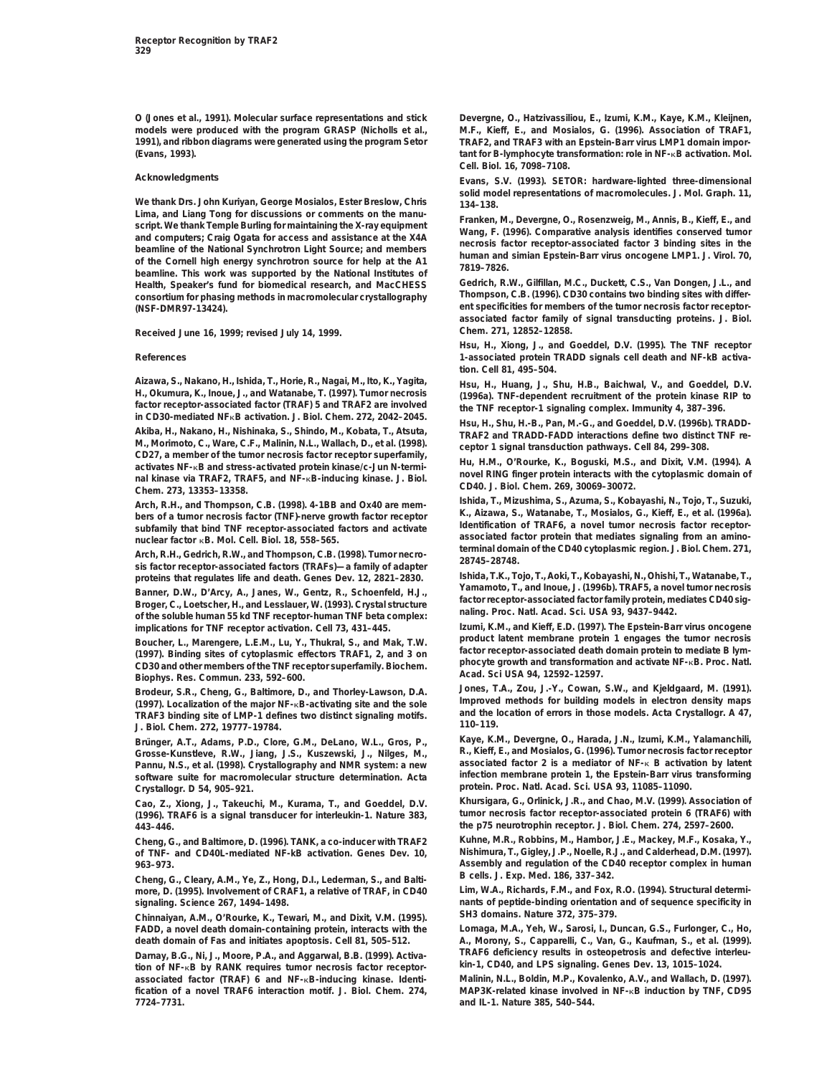**models were produced with the program GRASP (Nicholls et al., M.F., Kieff, E., and Mosialos, G. (1996). Association of TRAF1, 1991), and ribbon diagrams were generated using the program Setor TRAF2, and TRAF3 with an Epstein-Barr virus LMP1 domain impor- (Evans, 1993). tant for B-lymphocyte transformation: role in NF-**k**B activation. Mol.**

Lima, and Liang Tong for discussions or comments on the manu-<br>script. We thank Temple Burling for maintaining the X-ray equipment<br>and computers; Craig Ogata for access and assistance at the X4A<br>beamline of the National Syn **Health, Speaker's fund for biomedical research, and MacCHESS Gedrich, R.W., Gilfillan, M.C., Duckett, C.S., Van Dongen, J.L., and** consortium for phasing methods in macromolecular crystallography **ent specificities for members of the tumor necrosis factor receptor- (NSF-DMR97-13424).**

**Received June 16, 1999; revised July 14, 1999. Chem.** *271***, 12852–12858.**

Aizawa, S., Nakano, H., Ishida, T., Horie, R., Nagai, M., Ito, K., Yagita,<br>H., H., Huang, J., Shu, H.B., Baichwal, V., and Goeddel, D.V.<br>H., Okumura, K., Inoue, J., and Watanabe, T. (1997). Tumor necrosis (1996a). TNF-depe In CD30-mediated NFRB activation. J. Biol. Chem. 272, 2042–2045.<br>Akiba, H., Nakano, H., Nishinaka, S., Shindo, M., Kobata, T., Atsuta, TRAF2 and TRADD-FADD interactions define two distinct TNF re-<br>M., Morimoto, C., Ware, C M., Morimoto, C., Ware, C.F., Malinin, N.L., Wallach, D., et al. (1998).<br>
CD27, a member of the tumor necrosis factor receptor superfamily,<br>
activated protein kinase/c-Jun N-termi-<br>
activated protein kinase/c-Jun N-termi-<br>

Arch, R.H., Gedrich, R.W., and Thompson, C.B. (1998). Tumor necro-<br>sis factor receptor-associated factors (TRAFs)—a family of adapter 28745-28748.

Banner, D.W., D'Arcy, A., Janes, W., Gentz, R., Schoenfeld, H.J.,<br>Broger, C., Loetscher, H., and Lesslauer, W. (1993). Crystal structure<br>of the soluble human 55 kd TNF receptor-human TNF beta complex:<br>implications for TNF

Boucher, L., Marengere, L.E.M., Lu, Y., Thukral, S., and Mak, T.W. Product latent membrane protein 1 engages the tumor necrosis (1997). Binding sites of cytoplasmic effectors TRAF1, 2, and 3 on (1997). Binding sites of cyt

Brodeur, S.R., Cheng, G., Baltimore, D., and Thorley-Lawson, D.A. Jones, T.A., Zou, J.-Y., Cowan, S.W., and Kjeldgaard, M. (1991).<br>
(1997). Localization of the major NF-kB-activating site and the sole<br>
TRAF3 binding site o

Brünger, A.T., Adams, P.D., Clore, G.M., DeLano, W.L., Gros, P., Kaye, K.M., Devergne, O., Harada, J.N., Izumi, K.M., Yalamanchili,<br>Grosse-Kunstleve, R.W., Jiang, J.S., Kuszewski, J., Nilges, M., R., Kief **Grosse-Kunstleve, R.W., Jiang, J.S., Kuszewski, J., Nilges, M., R., Kieff, E., and Mosialos, G. (1996). Tumor necrosis factor receptor Pannu, N.S., et al. (1998). Crystallography and NMR system: a new associated factor 2 is a mediator of NF-**k **B activation by latent** software suite for macromolecular structure determination. Acta **Crystallogr. D** *54* **protein. Proc. Natl. Acad. Sci. USA** *93***, 11085–11090. , 905–921.**

(1996). TRAF6 is a signal transducer for interleukin-1. Nature 383, **443–446. the p75 neurotrophin receptor. J. Biol. Chem.** *274***, 2597–2600.**

of TNF- and CD40L-mediated NF-kB activation. Genes Dev. 10,

Cheng, G., Cleary, A.M., Ye, Z., Hong, D.I., Lederman, S., and Balti-**Belge H. M. M. S., L. S. Med.** *186, 337–342.*<br>1999). The S. (1995). Involvement of CRAF1, a relative of TRAF, in CD40 Lim, W.A., Richards, F.M., and Fo more, D. (1995). Involvement of CRAF1, a relative of TRAF, in CD40

Chinnaiyan, A.M., O'Rourke, K., Tewari, M., and Dixit, V.M. (1995). SH3 domains. Nature 372, 375–379.<br>FADD, a novel death domain-containing protein, interacts with the Lomaga, M.A., Yeh, W., Sarosi, I., Duncan, G.S., Furlo **FADD, a novel death domain-containing protein, interacts with the** 

tion of NF-<sub>K</sub>B by RANK requires tumor necrosis factor receptor-<br>associated factor (TRAF) 6 and NF-<sub>K</sub>B-inducing kinase. Identi-<br>Malinin, N.L., Boldin, M.P., Kovalenko, A.V., and Wallach, D. (1997). associated factor (TRAF) 6 and NF-<sub>K</sub>B-inducing kinase. Identi**fication of a novel TRAF6 interaction motif. J. Biol. Chem.** *274***, MAP3K-related kinase involved in NF-**k**B induction by TNF, CD95 7724–7731. and IL-1. Nature** *385***, 540–544.**

**O (Jones et al., 1991). Molecular surface representations and stick Devergne, O., Hatzivassiliou, E., Izumi, K.M., Kaye, K.M., Kleijnen, Cell. Biol.** *16***, 7098–7108.**

**Acknowledgments Evans, S.V. (1993). SETOR: hardware-lighted three-dimensional solid model representations of macromolecules. J. Mol. Graph. 11,**<br>
Lima, and Liang Tong for discussions or comments on the manu-<br> **Exaples M. Doverse O. Becarawia M. Angis B. Kieff. E. and** 

**associated factor family of signal transducting proteins. J. Biol.**

**Hsu, H., Xiong, J., and Goeddel, D.V. (1995). The TNF receptor References 1-associated protein TRADD signals cell death and NF-kB activation. Cell** *81***, 495–504.**

Arch, R.H., and Thompson, C.B. (1998). 4-1BB and Ox40 are mem-<br>bers of a tumor necrosis factor (TNF)-nerve growth factor receptor<br>subfamily that bind TNF receptor-associated factors and activate<br>subfamily that bind TNF rec

**proteins that regulates life and death. Genes Dev.** *12* **Ishida, T.K., Tojo, T., Aoki, T., Kobayashi, N., Ohishi, T., Watanabe, T., , 2821–2830.**

**izumi, K.M., and Kieff, E.D. (1997). The Epstein-Barr virus oncogene**<br>product latent membrane protein 1 engages the tumor necrosis

**Cao, Z., Xiong, J., Takeuchi, M., Kurama, T., and Goeddel, D.V. Khursigara, G., Orlinick, J.R., and Chao, M.V. (1999). Association of**

**Cheng, G., and Baltimore, D. (1996). TANK, a co-inducer with TRAF2 Kuhne, M.R., Robbins, M., Hambor, J.E., Mackey, M.F., Kosaka, Y., 963–973. Assembly and regulation of the CD40 receptor complex in human**

**signaling. Science** *267***, 1494–1498. nants of peptide-binding orientation and of sequence specificity in**

**death domain of Fas and initiates apoptosis. Cell** *81***, 505–512. A., Morony, S., Capparelli, C., Van, G., Kaufman, S., et al. (1999).** Darnay, B.G., Ni, J., Moore, P.A., and Aggarwal, B.B. (1999). Activa-<br>
tion of NF-<sub>K</sub>B by RANK requires tumor necrosis factor receptor-<br>

kin-1, CD40, and LPS signaling. Genes Dev. 13, 1015–1024.